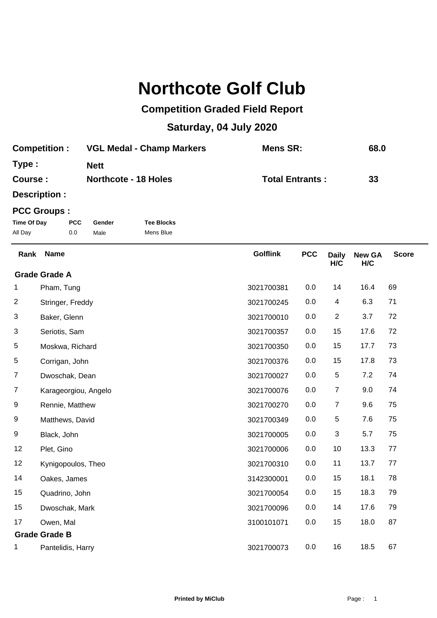## **Northcote Golf Club**

## **Competition Graded Field Report**

## **Saturday, 04 July 2020**

| <b>Competition:</b> | <b>VGL Medal - Champ Markers</b> | Mens SR:               | 68.0 |
|---------------------|----------------------------------|------------------------|------|
| Type:               | <b>Nett</b>                      |                        |      |
| Course :            | <b>Northcote - 18 Holes</b>      | <b>Total Entrants:</b> | 33   |

**Description :**

## **PCC Groups :**

| Time Of Day | <b>PCC</b> | Gender | <b>Tee Blocks</b> |
|-------------|------------|--------|-------------------|
| All Day     | 0.0        | Male   | Mens Blue         |

| Rank                    | <b>Name</b>          | <b>Golflink</b> | <b>PCC</b> | <b>Daily</b><br>H/C | <b>New GA</b><br>H/C | <b>Score</b> |
|-------------------------|----------------------|-----------------|------------|---------------------|----------------------|--------------|
|                         | <b>Grade Grade A</b> |                 |            |                     |                      |              |
| 1                       | Pham, Tung           | 3021700381      | 0.0        | 14                  | 16.4                 | 69           |
| $\overline{\mathbf{c}}$ | Stringer, Freddy     | 3021700245      | 0.0        | 4                   | 6.3                  | 71           |
| 3                       | Baker, Glenn         | 3021700010      | 0.0        | $\overline{2}$      | 3.7                  | 72           |
| 3                       | Seriotis, Sam        | 3021700357      | 0.0        | 15                  | 17.6                 | 72           |
| 5                       | Moskwa, Richard      | 3021700350      | 0.0        | 15                  | 17.7                 | 73           |
| 5                       | Corrigan, John       | 3021700376      | 0.0        | 15                  | 17.8                 | 73           |
| 7                       | Dwoschak, Dean       | 3021700027      | 0.0        | 5                   | 7.2                  | 74           |
| 7                       | Karageorgiou, Angelo | 3021700076      | 0.0        | $\overline{7}$      | 9.0                  | 74           |
| 9                       | Rennie, Matthew      | 3021700270      | 0.0        | 7                   | 9.6                  | 75           |
| 9                       | Matthews, David      | 3021700349      | 0.0        | 5                   | 7.6                  | 75           |
| 9                       | Black, John          | 3021700005      | 0.0        | $\sqrt{3}$          | 5.7                  | 75           |
| 12                      | Plet, Gino           | 3021700006      | 0.0        | 10                  | 13.3                 | 77           |
| 12                      | Kynigopoulos, Theo   | 3021700310      | 0.0        | 11                  | 13.7                 | 77           |
| 14                      | Oakes, James         | 3142300001      | 0.0        | 15                  | 18.1                 | 78           |
| 15                      | Quadrino, John       | 3021700054      | 0.0        | 15                  | 18.3                 | 79           |
| 15                      | Dwoschak, Mark       | 3021700096      | 0.0        | 14                  | 17.6                 | 79           |
| 17                      | Owen, Mal            | 3100101071      | 0.0        | 15                  | 18.0                 | 87           |
|                         | <b>Grade Grade B</b> |                 |            |                     |                      |              |
| 1                       | Pantelidis, Harry    | 3021700073      | 0.0        | 16                  | 18.5                 | 67           |